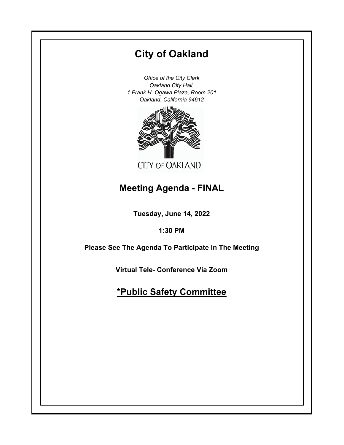# **City of Oakland**

*Office of the City Clerk Oakland City Hall, 1 Frank H. Ogawa Plaza, Room 201 Oakland, California 94612*



# **Meeting Agenda - FINAL**

**Tuesday, June 14, 2022**

**1:30 PM**

**Please See The Agenda To Participate In The Meeting**

**Virtual Tele- Conference Via Zoom**

# **\*Public Safety Committee**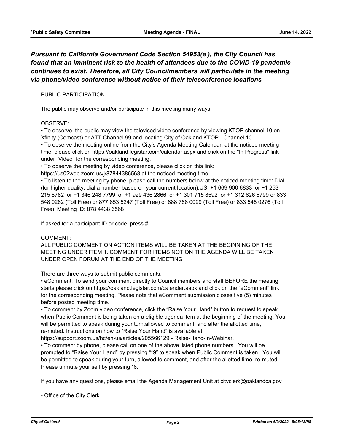## *Pursuant to California Government Code Section 54953(e ), the City Council has found that an imminent risk to the health of attendees due to the COVID-19 pandemic continues to exist. Therefore, all City Councilmembers will particulate in the meeting via phone/video conference without notice of their teleconference locations*

### PUBLIC PARTICIPATION

The public may observe and/or participate in this meeting many ways.

### OBSERVE:

• To observe, the public may view the televised video conference by viewing KTOP channel 10 on Xfinity (Comcast) or ATT Channel 99 and locating City of Oakland KTOP - Channel 10

• To observe the meeting online from the City's Agenda Meeting Calendar, at the noticed meeting time, please click on https://oakland.legistar.com/calendar.aspx and click on the "In Progress" link under "Video" for the corresponding meeting.

• To observe the meeting by video conference, please click on this link:

https://us02web.zoom.us/j/87844386568 at the noticed meeting time.

• To listen to the meeting by phone, please call the numbers below at the noticed meeting time: Dial (for higher quality, dial a number based on your current location):US: +1 669 900 6833 or +1 253 215 8782 or +1 346 248 7799 or +1 929 436 2866 or +1 301 715 8592 or +1 312 626 6799 or 833 548 0282 (Toll Free) or 877 853 5247 (Toll Free) or 888 788 0099 (Toll Free) or 833 548 0276 (Toll Free) Meeting ID: 878 4438 6568

If asked for a participant ID or code, press #.

### COMMENT:

ALL PUBLIC COMMENT ON ACTION ITEMS WILL BE TAKEN AT THE BEGINNING OF THE MEETING UNDER ITEM 1. COMMENT FOR ITEMS NOT ON THE AGENDA WILL BE TAKEN UNDER OPEN FORUM AT THE END OF THE MEETING

There are three ways to submit public comments.

• eComment. To send your comment directly to Council members and staff BEFORE the meeting starts please click on https://oakland.legistar.com/calendar.aspx and click on the "eComment" link for the corresponding meeting. Please note that eComment submission closes five (5) minutes before posted meeting time.

• To comment by Zoom video conference, click the "Raise Your Hand" button to request to speak when Public Comment is being taken on a eligible agenda item at the beginning of the meeting. You will be permitted to speak during your turn,allowed to comment, and after the allotted time, re-muted. Instructions on how to "Raise Your Hand" is available at:

https://support.zoom.us/hc/en-us/articles/205566129 - Raise-Hand-In-Webinar.

• To comment by phone, please call on one of the above listed phone numbers. You will be prompted to "Raise Your Hand" by pressing "\*9" to speak when Public Comment is taken. You will be permitted to speak during your turn, allowed to comment, and after the allotted time, re-muted. Please unmute your self by pressing \*6.

If you have any questions, please email the Agenda Management Unit at cityclerk@oaklandca.gov

- Office of the City Clerk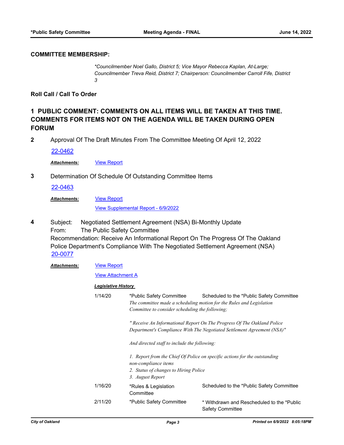### **COMMITTEE MEMBERSHIP:**

*\*Councilmember Noel Gallo, District 5; Vice Mayor Rebecca Kaplan, At-Large; Councilmember Treva Reid, District 7; Chairperson: Councilmember Carroll Fife, District 3*

**Roll Call / Call To Order**

## **1 PUBLIC COMMENT: COMMENTS ON ALL ITEMS WILL BE TAKEN AT THIS TIME. COMMENTS FOR ITEMS NOT ON THE AGENDA WILL BE TAKEN DURING OPEN FORUM**

**2** Approval Of The Draft Minutes From The Committee Meeting Of April 12, 2022

[22-0462](http://oakland.legistar.com/gateway.aspx?m=l&id=/matter.aspx?key=33383)

*Attachments:* [View Report](http://oakland.legistar.com/gateway.aspx?M=F&ID=1b7f244b-b99b-4d07-95d6-a993e6e6bc87.pdf)

**3** Determination Of Schedule Of Outstanding Committee Items

[22-0463](http://oakland.legistar.com/gateway.aspx?m=l&id=/matter.aspx?key=33384)

[View Report](http://oakland.legistar.com/gateway.aspx?M=F&ID=7a1e6f40-a87a-43bf-85f3-295b8d2386e5.pdf) *Attachments:*

[View Supplemental Report - 6/9/2022](http://oakland.legistar.com/gateway.aspx?M=F&ID=7f3e28ae-1a2b-4ea7-962f-04d870858c86.pdf)

Subject: Negotiated Settlement Agreement (NSA) Bi-Monthly Update From: The Public Safety Committee Recommendation: Receive An Informational Report On The Progress Of The Oakland Police Department's Compliance With The Negotiated Settlement Agreement (NSA) **4** [20-0077](http://oakland.legistar.com/gateway.aspx?m=l&id=/matter.aspx?key=31065)

#### [View Report](http://oakland.legistar.com/gateway.aspx?M=F&ID=403fec50-3f83-4527-b4d1-52102a454aac.pdf) *Attachments:*

### **[View Attachment A](http://oakland.legistar.com/gateway.aspx?M=F&ID=1d859172-9794-473f-81b1-d5a9fe45bb21.pdf)**

### *Legislative History*

|  | 1/14/20 | *Public Safety Committee<br>Committee to consider scheduling the following;                                                                                     | Scheduled to the *Public Safety Committee<br>The committee made a scheduling motion for the Rules and Legislation                                  |
|--|---------|-----------------------------------------------------------------------------------------------------------------------------------------------------------------|----------------------------------------------------------------------------------------------------------------------------------------------------|
|  |         |                                                                                                                                                                 | " Receive An Informational Report On The Progress Of The Oakland Police<br>Department's Compliance With The Negotiated Settlement Agreement (NSA)" |
|  |         | And directed staff to include the following:                                                                                                                    |                                                                                                                                                    |
|  |         | 1. Report from the Chief Of Police on specific actions for the outstanding<br>non-compliance items<br>2. Status of changes to Hiring Police<br>3. August Report |                                                                                                                                                    |
|  | 1/16/20 | *Rules & Legislation<br>Committee                                                                                                                               | Scheduled to the *Public Safety Committee                                                                                                          |
|  | 2/11/20 | *Public Safety Committee                                                                                                                                        | * Withdrawn and Rescheduled to the *Public<br><b>Safety Committee</b>                                                                              |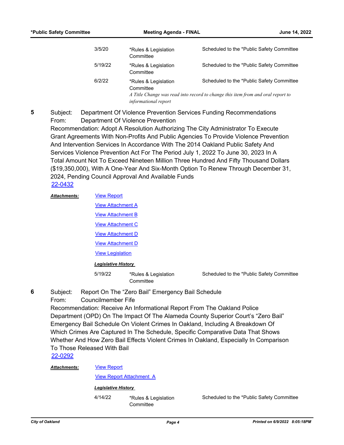| 3/5/20  | *Rules & Legislation<br>Committee                                                                                                                                                                | Scheduled to the *Public Safety Committee |
|---------|--------------------------------------------------------------------------------------------------------------------------------------------------------------------------------------------------|-------------------------------------------|
| 5/19/22 | *Rules & Legislation<br>Committee                                                                                                                                                                | Scheduled to the *Public Safety Committee |
| 6/2/22  | Scheduled to the *Public Safety Committee<br>*Rules & Legislation<br>Committee<br>A Title Change was read into record to change this item from and oral report to<br><i>informational report</i> |                                           |

Subject: Department Of Violence Prevention Services Funding Recommendations From: Department Of Violence Prevention Recommendation: Adopt A Resolution Authorizing The City Administrator To Execute Grant Agreements With Non-Profits And Public Agencies To Provide Violence Prevention And Intervention Services In Accordance With The 2014 Oakland Public Safety And Services Violence Prevention Act For The Period July 1, 2022 To June 30, 2023 In A Total Amount Not To Exceed Nineteen Million Three Hundred And Fifty Thousand Dollars (\$19,350,000), With A One-Year And Six-Month Option To Renew Through December 31, 2024, Pending Council Approval And Available Funds **5** [22-0432](http://oakland.legistar.com/gateway.aspx?m=l&id=/matter.aspx?key=33353)

| <b>Attachments:</b> | <b>View Report</b>         |                                   |
|---------------------|----------------------------|-----------------------------------|
|                     | <b>View Attachment A</b>   |                                   |
|                     | <b>View Attachment B</b>   |                                   |
|                     | <b>View Attachment C</b>   |                                   |
|                     | <b>View Attachment D</b>   |                                   |
|                     | <b>View Attachment D</b>   |                                   |
|                     | <b>View Legislation</b>    |                                   |
|                     | <b>Legislative History</b> |                                   |
|                     | 5/19/22                    | *Rules & Legislation<br>Committee |

Scheduled to the \*Public Safety Committee

- Subject: Report On The "Zero Bail" Emergency Bail Schedule
- From: Councilmember Fife

Recommendation: Receive An Informational Report From The Oakland Police Department (OPD) On The Impact Of The Alameda County Superior Court's "Zero Bail" Emergency Bail Schedule On Violent Crimes In Oakland, Including A Breakdown Of Which Crimes Are Captured In The Schedule, Specific Comparative Data That Shows Whether And How Zero Bail Effects Violent Crimes In Oakland, Especially In Comparison To Those Released With Bail

[22-0292](http://oakland.legistar.com/gateway.aspx?m=l&id=/matter.aspx?key=33213)

#### [View Report](http://oakland.legistar.com/gateway.aspx?M=F&ID=30d54de3-35e1-42c4-9910-4e9efed0008b.pdf) *Attachments:*

[View Report Attachment A](http://oakland.legistar.com/gateway.aspx?M=F&ID=a543b629-5abf-47df-9aef-345ac69158e2.pdf)

## *Legislative History*

4/14/22 \*Rules & Legislation **Committee** 

Scheduled to the \*Public Safety Committee

**6**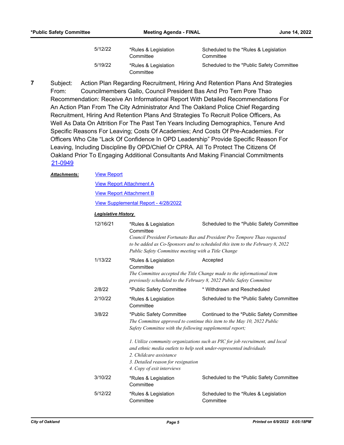| 5/12/22 | *Rules & Legislation<br>Committee | Scheduled to the *Rules & Legislation<br>Committee |
|---------|-----------------------------------|----------------------------------------------------|
| 5/19/22 | *Rules & Legislation<br>Committee | Scheduled to the *Public Safety Committee          |

Subject: Action Plan Regarding Recruitment, Hiring And Retention Plans And Strategies From: Councilmembers Gallo, Council President Bas And Pro Tem Pore Thao Recommendation: Receive An Informational Report With Detailed Recommendations For An Action Plan From The City Administrator And The Oakland Police Chief Regarding Recruitment, Hiring And Retention Plans And Strategies To Recruit Police Officers, As Well As Data On Attrition For The Past Ten Years Including Demographics, Tenure And Specific Reasons For Leaving; Costs Of Academies; And Costs Of Pre-Academies. For Officers Who Cite "Lack Of Confidence In OPD Leadership" Provide Specific Reason For Leaving, Including Discipline By OPD/Chief Or CPRA. All To Protect The Citizens Of Oakland Prior To Engaging Additional Consultants And Making Financial Commitments **7** [21-0949](http://oakland.legistar.com/gateway.aspx?m=l&id=/matter.aspx?key=32873)

### [View Report](http://oakland.legistar.com/gateway.aspx?M=F&ID=24bc8c30-db65-4324-96e0-4110ff597234.pdf) *Attachments:*

[View Report Attachment A](http://oakland.legistar.com/gateway.aspx?M=F&ID=a1adca88-c67a-4821-8e7e-54870033a460.pdf)

[View Report Attachment B](http://oakland.legistar.com/gateway.aspx?M=F&ID=6fbfc41c-257b-48f6-b171-6c8152c18196.pdf)

[View Supplemental Report - 4/28/2022](http://oakland.legistar.com/gateway.aspx?M=F&ID=c078db59-8ca9-40e3-ac0a-4d98f762f6c7.pdf)

### *Legislative History*

| 12/16/21 | *Rules & Legislation<br>Committee                                                                                                                                                                                                                   | Scheduled to the *Public Safety Committee                                                                                                                  |  |
|----------|-----------------------------------------------------------------------------------------------------------------------------------------------------------------------------------------------------------------------------------------------------|------------------------------------------------------------------------------------------------------------------------------------------------------------|--|
|          | Council President Fortunato Bas and President Pro Tempore Thao requested<br>to be added as Co-Sponsors and to scheduled this item to the February 8, 2022<br>Public Safety Committee meeting with a Title Change                                    |                                                                                                                                                            |  |
| 1/13/22  | *Rules & Legislation<br>Committee                                                                                                                                                                                                                   | Accepted<br>The Committee accepted the Title Change made to the informational item<br>previously scheduled to the February 8, 2022 Public Safety Committee |  |
| 2/8/22   | *Public Safety Committee                                                                                                                                                                                                                            | * Withdrawn and Rescheduled                                                                                                                                |  |
| 2/10/22  | *Rules & Legislation<br>Committee                                                                                                                                                                                                                   | Scheduled to the *Public Safety Committee                                                                                                                  |  |
| 3/8/22   | *Public Safety Committee<br>Continued to the *Public Safety Committee<br>The Committee approved to continue this item to the May 10, 2022 Public<br>Safety Committee with the following supplemental report;                                        |                                                                                                                                                            |  |
|          | 1. Utilize community organizations such as PIC for job recruitment, and local<br>and ethnic media outlets to help seek under-represented individuals<br>2. Childcare assistance<br>3. Detailed reason for resignation<br>4. Copy of exit interviews |                                                                                                                                                            |  |
| 3/10/22  | *Rules & Legislation<br>Committee                                                                                                                                                                                                                   | Scheduled to the *Public Safety Committee                                                                                                                  |  |
| 5/12/22  | *Rules & Legislation<br>Committee                                                                                                                                                                                                                   | Scheduled to the *Rules & Legislation<br>Committee                                                                                                         |  |